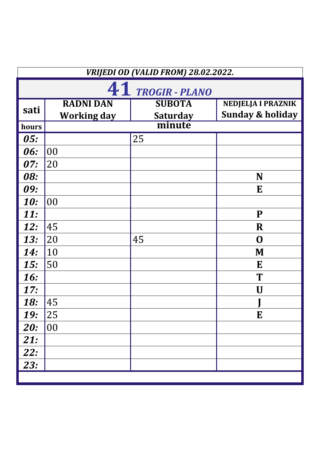|            | VRIJEDI OD (VALID FROM) 28.02.2022. |                 |                             |  |  |
|------------|-------------------------------------|-----------------|-----------------------------|--|--|
|            | 41 TROGIR - PLANO                   |                 |                             |  |  |
| sati       | <b>RADNI DAN</b>                    | <b>SUBOTA</b>   | <b>NEDJELJA I PRAZNIK</b>   |  |  |
|            | <b>Working day</b>                  | <b>Saturday</b> | <b>Sunday &amp; holiday</b> |  |  |
| hours      |                                     | minute          |                             |  |  |
| 05:        |                                     | 25              |                             |  |  |
| 06:        | 00                                  |                 |                             |  |  |
| 07:        | 20                                  |                 |                             |  |  |
| <b>08:</b> |                                     |                 | N                           |  |  |
| 09:        |                                     |                 | E                           |  |  |
| <b>10:</b> | 00                                  |                 |                             |  |  |
| <b>11:</b> |                                     |                 | ${\bf P}$                   |  |  |
| <b>12:</b> | 45                                  |                 | $\bf R$                     |  |  |
| <b>13:</b> | 20                                  | 45              | $\mathbf 0$                 |  |  |
| <b>14:</b> | 10                                  |                 | M                           |  |  |
| 15:        | 50                                  |                 | E                           |  |  |
| <b>16:</b> |                                     |                 | T                           |  |  |
| 17:        |                                     |                 | U                           |  |  |
| 18:        | 45                                  |                 |                             |  |  |
| <b>19:</b> | 25                                  |                 | E                           |  |  |
| <b>20:</b> | 00                                  |                 |                             |  |  |
| 21:        |                                     |                 |                             |  |  |
| <b>22:</b> |                                     |                 |                             |  |  |
| 23:        |                                     |                 |                             |  |  |
|            |                                     |                 |                             |  |  |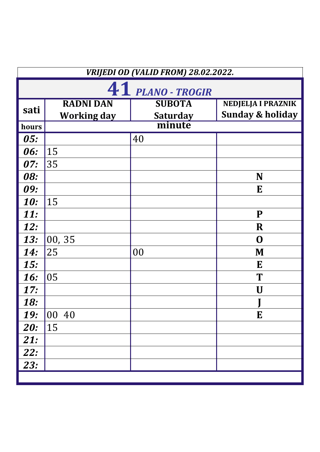|            | VRIJEDI OD (VALID FROM) 28.02.2022. |                           |                             |  |
|------------|-------------------------------------|---------------------------|-----------------------------|--|
|            |                                     | 41 PLANO - TROGIR         |                             |  |
| sati       | <b>RADNI DAN</b>                    | <b>SUBOTA</b>             | <b>NEDJELJA I PRAZNIK</b>   |  |
|            | <b>Working day</b>                  | <b>Saturday</b><br>minute | <b>Sunday &amp; holiday</b> |  |
| hours      |                                     |                           |                             |  |
| 05:        |                                     | 40                        |                             |  |
| 06:        | 15                                  |                           |                             |  |
| 07:        | 35                                  |                           |                             |  |
| <b>08:</b> |                                     |                           | N                           |  |
| 09:        |                                     |                           | E                           |  |
| <b>10:</b> | 15                                  |                           |                             |  |
| <b>11:</b> |                                     |                           | ${\bf P}$                   |  |
| <b>12:</b> |                                     |                           | $\bf R$                     |  |
| <b>13:</b> | 00, 35                              |                           | $\mathbf 0$                 |  |
| <b>14:</b> | 25                                  | 00                        | M                           |  |
| 15:        |                                     |                           | E                           |  |
| <b>16:</b> | 05                                  |                           | T                           |  |
| 17:        |                                     |                           | U                           |  |
| 18:        |                                     |                           |                             |  |
| <b>19:</b> | 00 40                               |                           | E                           |  |
| <b>20:</b> | 15                                  |                           |                             |  |
| 21:        |                                     |                           |                             |  |
| <b>22:</b> |                                     |                           |                             |  |
| 23:        |                                     |                           |                             |  |
|            |                                     |                           |                             |  |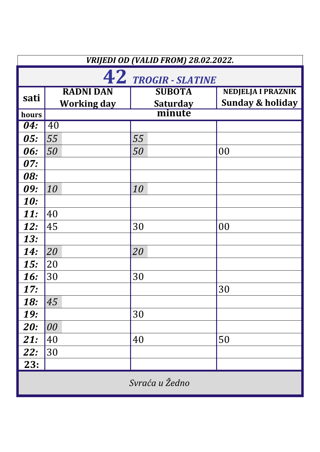|            | VRIJEDI OD (VALID FROM) 28.02.2022. |                 |                             |  |  |
|------------|-------------------------------------|-----------------|-----------------------------|--|--|
|            | 42 TROGIR - SLATINE                 |                 |                             |  |  |
| sati       | <b>RADNI DAN</b>                    | <b>SUBOTA</b>   | <b>NEDJELJA I PRAZNIK</b>   |  |  |
|            | <b>Working day</b>                  | <b>Saturday</b> | <b>Sunday &amp; holiday</b> |  |  |
| hours      |                                     | minute          |                             |  |  |
| 04:        | 40                                  |                 |                             |  |  |
| <b>05:</b> | 55                                  | 55              |                             |  |  |
| 06:        | 50                                  | 50              | 00                          |  |  |
| 07:        |                                     |                 |                             |  |  |
| 08:        |                                     |                 |                             |  |  |
| 09:        | 10                                  | 10              |                             |  |  |
| <b>10:</b> |                                     |                 |                             |  |  |
| <b>11:</b> | 40                                  |                 |                             |  |  |
| <b>12:</b> | 45                                  | 30              | 00                          |  |  |
| <b>13:</b> |                                     |                 |                             |  |  |
| <b>14:</b> | 20                                  | 20              |                             |  |  |
| 15:        | 20                                  |                 |                             |  |  |
| <b>16:</b> | 30                                  | 30              |                             |  |  |
| 17:        |                                     |                 | 30                          |  |  |
| <b>18:</b> | 45                                  |                 |                             |  |  |
| <b>19:</b> |                                     | 30              |                             |  |  |
| <b>20:</b> | 00                                  |                 |                             |  |  |
| 21:        | 40                                  | 40              | 50                          |  |  |
| 22:        | 30                                  |                 |                             |  |  |
| 23:        |                                     |                 |                             |  |  |
|            | Svraća u Žedno                      |                 |                             |  |  |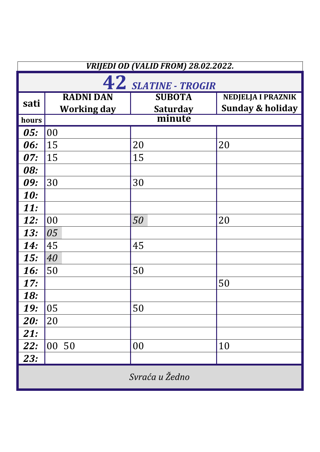|            | VRIJEDI OD (VALID FROM) 28.02.2022. |                 |                             |  |  |
|------------|-------------------------------------|-----------------|-----------------------------|--|--|
|            | 42 SLATINE - TROGIR                 |                 |                             |  |  |
| sati       | <b>RADNI DAN</b>                    | <b>SUBOTA</b>   | <b>NEDJELJA I PRAZNIK</b>   |  |  |
|            | <b>Working day</b>                  | <b>Saturday</b> | <b>Sunday &amp; holiday</b> |  |  |
| hours      |                                     | minute          |                             |  |  |
| 05:        | 00                                  |                 |                             |  |  |
| 06:        | 15                                  | 20              | 20                          |  |  |
| 07:        | 15                                  | 15              |                             |  |  |
| <b>08:</b> |                                     |                 |                             |  |  |
| 09:        | 30                                  | 30              |                             |  |  |
| <b>10:</b> |                                     |                 |                             |  |  |
| <b>11:</b> |                                     |                 |                             |  |  |
| 12:        | 00                                  | 50              | 20                          |  |  |
| <b>13:</b> | 05                                  |                 |                             |  |  |
| <b>14:</b> | 45                                  | 45              |                             |  |  |
| 15:        | 40                                  |                 |                             |  |  |
| <b>16:</b> | 50                                  | 50              |                             |  |  |
| 17:        |                                     |                 | 50                          |  |  |
| 18:        |                                     |                 |                             |  |  |
| <b>19:</b> | 05                                  | 50              |                             |  |  |
| <b>20:</b> | 20                                  |                 |                             |  |  |
| 21:        |                                     |                 |                             |  |  |
| 22:        | 00 50                               | 00              | 10                          |  |  |
| <b>23:</b> |                                     |                 |                             |  |  |
|            | Svraća u Žedno                      |                 |                             |  |  |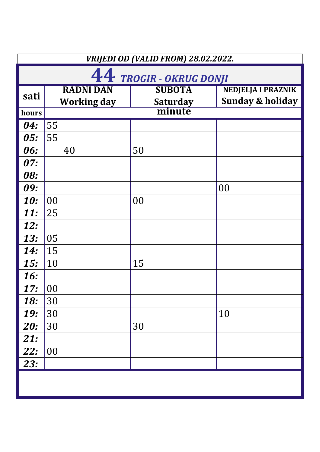|            | VRIJEDI OD (VALID FROM) 28.02.2022.    |                                  |                                                          |  |
|------------|----------------------------------------|----------------------------------|----------------------------------------------------------|--|
|            | 44 TROGIR - OKRUG DONJI                |                                  |                                                          |  |
| sati       | <b>RADNI DAN</b><br><b>Working day</b> | <b>SUBOTA</b><br><b>Saturday</b> | <b>NEDJELJA I PRAZNIK</b><br><b>Sunday &amp; holiday</b> |  |
| hours      |                                        | minute                           |                                                          |  |
| 04:        | 55                                     |                                  |                                                          |  |
| 05:        | 55                                     |                                  |                                                          |  |
| 06:        | 40                                     | 50                               |                                                          |  |
| 07:        |                                        |                                  |                                                          |  |
| 08:        |                                        |                                  |                                                          |  |
| 09:        |                                        |                                  | 00                                                       |  |
| <b>10:</b> | 00                                     | 00                               |                                                          |  |
| <b>11:</b> | 25                                     |                                  |                                                          |  |
| <b>12:</b> |                                        |                                  |                                                          |  |
| <b>13:</b> | 05                                     |                                  |                                                          |  |
| <b>14:</b> | 15                                     |                                  |                                                          |  |
| 15:        | 10                                     | 15                               |                                                          |  |
| <b>16:</b> |                                        |                                  |                                                          |  |
| 17:        | 00                                     |                                  |                                                          |  |
| <b>18:</b> | 30                                     |                                  |                                                          |  |
| <b>19:</b> | 30                                     |                                  | 10                                                       |  |
| <b>20:</b> | 30                                     | 30                               |                                                          |  |
| 21:        |                                        |                                  |                                                          |  |
| <b>22:</b> | 00                                     |                                  |                                                          |  |
| 23:        |                                        |                                  |                                                          |  |
|            |                                        |                                  |                                                          |  |
|            |                                        |                                  |                                                          |  |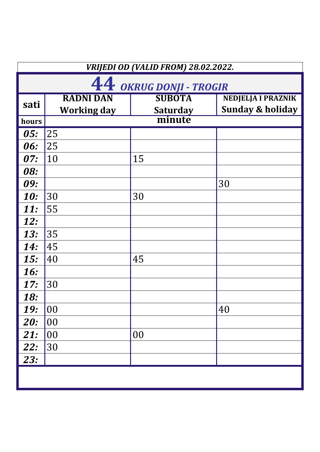|            | VRIJEDI OD (VALID FROM) 28.02.2022.    |                                  |                                                   |  |
|------------|----------------------------------------|----------------------------------|---------------------------------------------------|--|
|            | 44 OKRUG DONJI - TROGIR                |                                  |                                                   |  |
| sati       | <b>RADNI DAN</b><br><b>Working day</b> | <b>SUBOTA</b><br><b>Saturday</b> | NEDJELJA I PRAZNIK<br><b>Sunday &amp; holiday</b> |  |
| hours      |                                        | minute                           |                                                   |  |
| 05:        | 25                                     |                                  |                                                   |  |
| 06:        | 25                                     |                                  |                                                   |  |
| 07:        | 10                                     | 15                               |                                                   |  |
| <b>08:</b> |                                        |                                  |                                                   |  |
| 09:        |                                        |                                  | 30                                                |  |
| <b>10:</b> | 30                                     | 30                               |                                                   |  |
| <b>11:</b> | 55                                     |                                  |                                                   |  |
| <b>12:</b> |                                        |                                  |                                                   |  |
| <b>13:</b> | 35                                     |                                  |                                                   |  |
| <b>14:</b> | 45                                     |                                  |                                                   |  |
| 15:        | 40                                     | 45                               |                                                   |  |
| <b>16:</b> |                                        |                                  |                                                   |  |
| 17:        | 30                                     |                                  |                                                   |  |
| 18:        |                                        |                                  |                                                   |  |
| <b>19:</b> | 00                                     |                                  | 40                                                |  |
| <b>20:</b> | 00                                     |                                  |                                                   |  |
| <b>21:</b> | 00                                     | 00                               |                                                   |  |
| 22:        | 30                                     |                                  |                                                   |  |
| <b>23:</b> |                                        |                                  |                                                   |  |
|            |                                        |                                  |                                                   |  |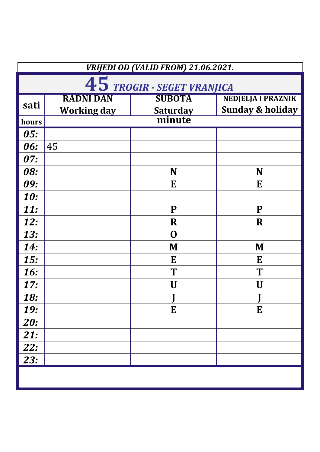| VRIJEDI OD (VALID FROM) 21.06.2021. |                            |                 |                             |  |
|-------------------------------------|----------------------------|-----------------|-----------------------------|--|
|                                     | 45 TROGIR - SEGET VRANJICA |                 |                             |  |
|                                     | <b>RADNI DAN</b>           | <b>SUBOTA</b>   | <b>NEDJELJA I PRAZNIK</b>   |  |
| sati                                | <b>Working day</b>         | <b>Saturday</b> | <b>Sunday &amp; holiday</b> |  |
| hours                               |                            | minute          |                             |  |
| 05:                                 |                            |                 |                             |  |
| 06:                                 | 45                         |                 |                             |  |
| 07:                                 |                            |                 |                             |  |
| <b>08:</b>                          |                            | N               | N                           |  |
| 09:                                 |                            | E               | E                           |  |
| <b>10:</b>                          |                            |                 |                             |  |
| <b>11:</b>                          |                            | P               | ${\bf P}$                   |  |
| <b>12:</b>                          |                            | $\bf R$         | $\bf R$                     |  |
| <b>13:</b>                          |                            | $\mathbf 0$     |                             |  |
| <b>14:</b>                          |                            | M               | M                           |  |
| 15:                                 |                            | E               | E                           |  |
| <b>16:</b>                          |                            | T               | T                           |  |
| 17:                                 |                            | U               | U                           |  |
| 18:                                 |                            |                 |                             |  |
| <b>19:</b>                          |                            | E               | E                           |  |
| <b>20:</b>                          |                            |                 |                             |  |
| 21:                                 |                            |                 |                             |  |
| <b>22:</b>                          |                            |                 |                             |  |
| <b>23:</b>                          |                            |                 |                             |  |
|                                     |                            |                 |                             |  |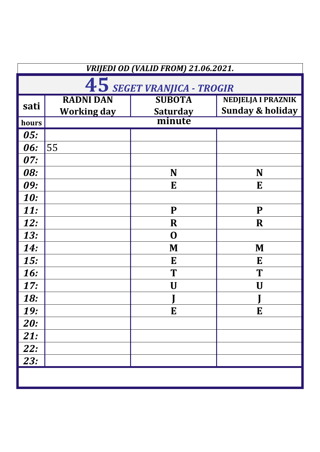| VRIJEDI OD (VALID FROM) 21.06.2021. |                            |                 |                             |  |
|-------------------------------------|----------------------------|-----------------|-----------------------------|--|
|                                     | 45 SEGET VRANJICA - TROGIR |                 |                             |  |
|                                     | <b>RADNI DAN</b>           | <b>SUBOTA</b>   | <b>NEDJELJA I PRAZNIK</b>   |  |
| sati                                | <b>Working day</b>         | <b>Saturday</b> | <b>Sunday &amp; holiday</b> |  |
| hours                               |                            | minute          |                             |  |
| 05:                                 |                            |                 |                             |  |
| 06:                                 | 55                         |                 |                             |  |
| 07:                                 |                            |                 |                             |  |
| <b>08:</b>                          |                            | N               | N                           |  |
| 09:                                 |                            | E               | E                           |  |
| <b>10:</b>                          |                            |                 |                             |  |
| <b>11:</b>                          |                            | P               | ${\bf P}$                   |  |
| <b>12:</b>                          |                            | $\mathbf R$     | $\bf R$                     |  |
| <b>13:</b>                          |                            | $\mathbf 0$     |                             |  |
| <b>14:</b>                          |                            | M               | M                           |  |
| 15:                                 |                            | E               | E                           |  |
| <b>16:</b>                          |                            | T               | T                           |  |
| 17:                                 |                            | U               | U                           |  |
| 18:                                 |                            |                 |                             |  |
| <b>19:</b>                          |                            | E               | E                           |  |
| <b>20:</b>                          |                            |                 |                             |  |
| 21:                                 |                            |                 |                             |  |
| <b>22:</b>                          |                            |                 |                             |  |
| <b>23:</b>                          |                            |                 |                             |  |
|                                     |                            |                 |                             |  |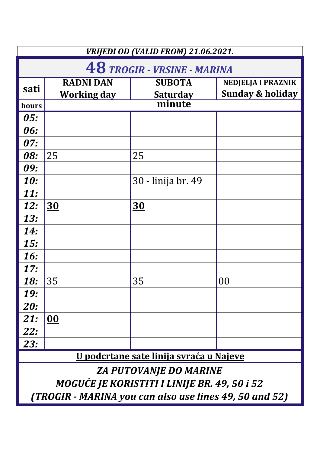| VRIJEDI OD (VALID FROM) 21.06.2021.            |                                 |                                                        |                                                          |
|------------------------------------------------|---------------------------------|--------------------------------------------------------|----------------------------------------------------------|
| <b>48 TROGIR - VRSINE - MARINA</b>             |                                 |                                                        |                                                          |
| sati                                           | <b>RADNI DAN</b><br>Working day | <b>SUBOTA</b><br><b>Saturday</b>                       | <b>NEDJELJA I PRAZNIK</b><br><b>Sunday &amp; holiday</b> |
| hours                                          |                                 | minute                                                 |                                                          |
| <i>05:</i>                                     |                                 |                                                        |                                                          |
| 06:                                            |                                 |                                                        |                                                          |
| 07:                                            |                                 |                                                        |                                                          |
| 08:                                            | 25                              | 25                                                     |                                                          |
| 09:                                            |                                 |                                                        |                                                          |
| <b>10:</b>                                     |                                 | 30 - linija br. 49                                     |                                                          |
| <b>11:</b>                                     |                                 |                                                        |                                                          |
| <b>12:</b>                                     | <b>30</b>                       | <b>30</b>                                              |                                                          |
| <b>13:</b>                                     |                                 |                                                        |                                                          |
| <b>14:</b>                                     |                                 |                                                        |                                                          |
| <b>15:</b>                                     |                                 |                                                        |                                                          |
| <b>16:</b>                                     |                                 |                                                        |                                                          |
| 17:                                            |                                 |                                                        |                                                          |
| <b>18:</b>                                     | 35                              | 35                                                     | 00                                                       |
| <b>19:</b>                                     |                                 |                                                        |                                                          |
| <b>20:</b>                                     |                                 |                                                        |                                                          |
| 21:                                            | $\overline{\mathbf{00}}$        |                                                        |                                                          |
| <b>22:</b>                                     |                                 |                                                        |                                                          |
| 23:                                            |                                 |                                                        |                                                          |
| <u>U podcrtane sate linija svraća u Najeve</u> |                                 |                                                        |                                                          |
| <b>ZA PUTOVANJE DO MARINE</b>                  |                                 |                                                        |                                                          |
| MOGUĆE JE KORISTITI I LINIJE BR. 49, 50 i 52   |                                 |                                                        |                                                          |
|                                                |                                 | (TROGIR - MARINA you can also use lines 49, 50 and 52) |                                                          |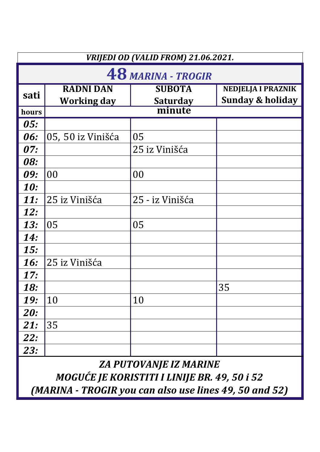|            | VRIJEDI OD (VALID FROM) 21.06.2021. |                                  |                                                          |  |
|------------|-------------------------------------|----------------------------------|----------------------------------------------------------|--|
|            | <b>48 MARINA - TROGIR</b>           |                                  |                                                          |  |
| sati       | <b>RADNI DAN</b><br>Working day     | <b>SUBOTA</b><br><b>Saturday</b> | <b>NEDJELJA I PRAZNIK</b><br><b>Sunday &amp; holiday</b> |  |
| hours      |                                     | minute                           |                                                          |  |
| 05:        |                                     |                                  |                                                          |  |
| 06:        | 05, 50 iz Vinišća                   | 05                               |                                                          |  |
| 07:        |                                     | 25 iz Vinišća                    |                                                          |  |
| 08:        |                                     |                                  |                                                          |  |
| 09:        | 00                                  | 00                               |                                                          |  |
| <b>10:</b> |                                     |                                  |                                                          |  |
| <b>11:</b> | 25 iz Vinišća                       | 25 - iz Vinišća                  |                                                          |  |
| <b>12:</b> |                                     |                                  |                                                          |  |
| <b>13:</b> | 05                                  | 05                               |                                                          |  |
| <b>14:</b> |                                     |                                  |                                                          |  |
| <b>15:</b> |                                     |                                  |                                                          |  |
| <b>16:</b> | 25 iz Vinišća                       |                                  |                                                          |  |
| 17:        |                                     |                                  |                                                          |  |
| <b>18:</b> |                                     |                                  | 35                                                       |  |
| <b>19:</b> | 10                                  | 10                               |                                                          |  |
| <b>20:</b> |                                     |                                  |                                                          |  |
| 21:        | 35                                  |                                  |                                                          |  |
| <b>22:</b> |                                     |                                  |                                                          |  |
| 23:        |                                     |                                  |                                                          |  |

*ZA PUTOVANJE IZ MARINE* 

*MOGUĆE JE KORISTITI I LINIJE BR. 49, 50 i 52*

*(MARINA - TROGIR you can also use lines 49, 50 and 52)*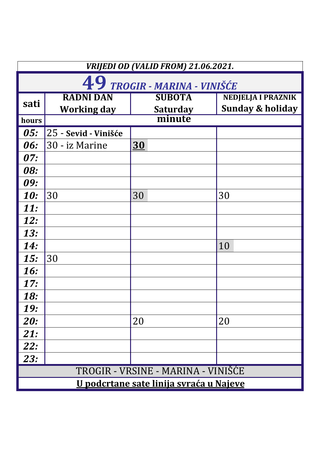| VRIJEDI OD (VALID FROM) 21.06.2021. |                                                |                                  |                                                          |  |
|-------------------------------------|------------------------------------------------|----------------------------------|----------------------------------------------------------|--|
|                                     | 49 TROGIR - MARINA - VINIŠĆE                   |                                  |                                                          |  |
| sati                                | <b>RADNI DAN</b><br>Working day                | <b>SUBOTA</b><br><b>Saturday</b> | <b>NEDJELJA I PRAZNIK</b><br><b>Sunday &amp; holiday</b> |  |
| hours                               |                                                | minute                           |                                                          |  |
| 05:                                 | 25 - Sevid - Vinišće                           |                                  |                                                          |  |
| 06:                                 | 30 - iz Marine                                 | <u>30</u>                        |                                                          |  |
| <i>07:</i>                          |                                                |                                  |                                                          |  |
| <b>08:</b>                          |                                                |                                  |                                                          |  |
| 09:                                 |                                                |                                  |                                                          |  |
| <b>10:</b>                          | 30                                             | 30                               | 30                                                       |  |
| <b>11:</b>                          |                                                |                                  |                                                          |  |
| <b>12:</b>                          |                                                |                                  |                                                          |  |
| <b>13:</b>                          |                                                |                                  |                                                          |  |
| <b>14:</b>                          |                                                |                                  | 10                                                       |  |
| 15:                                 | 30                                             |                                  |                                                          |  |
| <b>16:</b>                          |                                                |                                  |                                                          |  |
| 17:                                 |                                                |                                  |                                                          |  |
| <b>18:</b>                          |                                                |                                  |                                                          |  |
| <b>19:</b>                          |                                                |                                  |                                                          |  |
| <b>20:</b>                          |                                                | 20                               | 20                                                       |  |
| <b>21:</b>                          |                                                |                                  |                                                          |  |
| <b>22:</b>                          |                                                |                                  |                                                          |  |
| <b>23:</b>                          |                                                |                                  |                                                          |  |
| TROGIR - VRSINE - MARINA - VINISCE  |                                                |                                  |                                                          |  |
|                                     | <u>U podcrtane sate linija svraća u Najeve</u> |                                  |                                                          |  |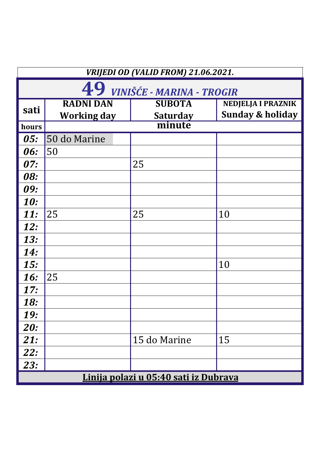| VRIJEDI OD (VALID FROM) 21.06.2021. |                                        |                                       |                                                          |  |  |
|-------------------------------------|----------------------------------------|---------------------------------------|----------------------------------------------------------|--|--|
|                                     | 49 VINIŠĆE - MARINA - TROGIR           |                                       |                                                          |  |  |
| sati                                | <b>RADNI DAN</b><br><b>Working day</b> | <b>SUBOTA</b><br><b>Saturday</b>      | <b>NEDJELJA I PRAZNIK</b><br><b>Sunday &amp; holiday</b> |  |  |
| hours                               |                                        | minute                                |                                                          |  |  |
| 05:                                 | 50 do Marine                           |                                       |                                                          |  |  |
| 06:                                 | 50                                     |                                       |                                                          |  |  |
| 07:                                 |                                        | 25                                    |                                                          |  |  |
| <b>08:</b>                          |                                        |                                       |                                                          |  |  |
| 09:                                 |                                        |                                       |                                                          |  |  |
| <b>10:</b>                          |                                        |                                       |                                                          |  |  |
| <b>11:</b>                          | 25                                     | 25                                    | 10                                                       |  |  |
| <b>12:</b>                          |                                        |                                       |                                                          |  |  |
| <b>13:</b>                          |                                        |                                       |                                                          |  |  |
| <b>14:</b>                          |                                        |                                       |                                                          |  |  |
| <b>15:</b>                          |                                        |                                       | 10                                                       |  |  |
| <b>16:</b>                          | 25                                     |                                       |                                                          |  |  |
| 17:                                 |                                        |                                       |                                                          |  |  |
| <b>18:</b>                          |                                        |                                       |                                                          |  |  |
| <b>19:</b>                          |                                        |                                       |                                                          |  |  |
| <b>20:</b>                          |                                        |                                       |                                                          |  |  |
| 21:                                 |                                        | 15 do Marine                          | 15                                                       |  |  |
| <b>22:</b>                          |                                        |                                       |                                                          |  |  |
| 23:                                 |                                        |                                       |                                                          |  |  |
|                                     |                                        | Linija polazi u 05:40 sati iz Dubrava |                                                          |  |  |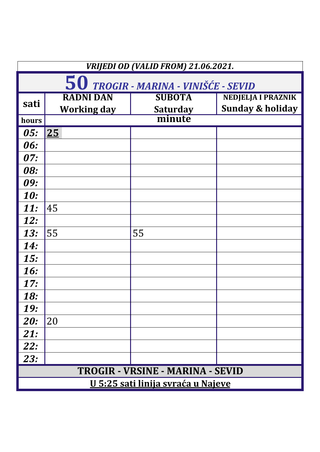| VRIJEDI OD (VALID FROM) 21.06.2021.       |                    |                 |                             |
|-------------------------------------------|--------------------|-----------------|-----------------------------|
| 50 TROGIR - MARINA - VINIŠĆE - SEVID      |                    |                 |                             |
| sati                                      | <b>RADNI DAN</b>   | <b>SUBOTA</b>   | <b>NEDJELJA I PRAZNIK</b>   |
|                                           | <b>Working day</b> | <b>Saturday</b> | <b>Sunday &amp; holiday</b> |
| hours                                     |                    | minute          |                             |
| <b>05:</b>                                | 25                 |                 |                             |
| 06:                                       |                    |                 |                             |
| 07:                                       |                    |                 |                             |
| 08:                                       |                    |                 |                             |
| 09:                                       |                    |                 |                             |
| <b>10:</b>                                |                    |                 |                             |
| <b>11:</b>                                | 45                 |                 |                             |
| <b>12:</b>                                |                    |                 |                             |
| <b>13:</b>                                | 55                 | 55              |                             |
| <b>14:</b>                                |                    |                 |                             |
| <b>15:</b>                                |                    |                 |                             |
| 16:                                       |                    |                 |                             |
| 17:                                       |                    |                 |                             |
| <b>18:</b>                                |                    |                 |                             |
| <b>19:</b>                                |                    |                 |                             |
| <b>20:</b>                                | 20                 |                 |                             |
| 21:                                       |                    |                 |                             |
| <b>22:</b>                                |                    |                 |                             |
| 23:                                       |                    |                 |                             |
| TROGIR - VRSINE - MARINA - SEVID          |                    |                 |                             |
| <u>U 5:25 sati linija svraća u Najeve</u> |                    |                 |                             |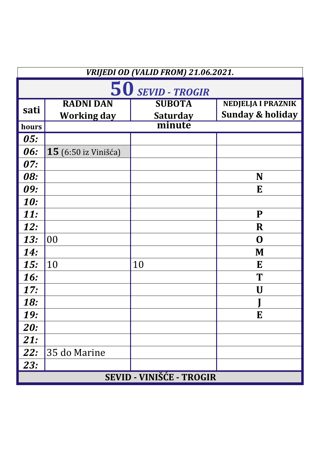| VRIJEDI OD (VALID FROM) 21.06.2021. |                             |                 |                             |
|-------------------------------------|-----------------------------|-----------------|-----------------------------|
| 50 SEVID - TROGIR                   |                             |                 |                             |
| sati                                | <b>RADNI DAN</b>            | <b>SUBOTA</b>   | <b>NEDJELJA I PRAZNIK</b>   |
|                                     | <b>Working day</b>          | <b>Saturday</b> | <b>Sunday &amp; holiday</b> |
| hours                               |                             | minute          |                             |
| <i>05:</i>                          |                             |                 |                             |
| 06:                                 | <b>15</b> (6:50 iz Vinišća) |                 |                             |
| 07:                                 |                             |                 |                             |
| <b>08:</b>                          |                             |                 | N                           |
| 09:                                 |                             |                 | E                           |
| <b>10:</b>                          |                             |                 |                             |
| <b>11:</b>                          |                             |                 | P                           |
| <b>12:</b>                          |                             |                 | R                           |
| <b>13:</b>                          | 00                          |                 | $\mathbf 0$                 |
| <b>14:</b>                          |                             |                 | M                           |
| 15:                                 | 10                          | 10              | E                           |
| <b>16:</b>                          |                             |                 | T                           |
| 17:                                 |                             |                 | U                           |
| 18:                                 |                             |                 | J                           |
| <b>19:</b>                          |                             |                 | E                           |
| <b>20:</b>                          |                             |                 |                             |
| 21:                                 |                             |                 |                             |
| <b>22:</b>                          | 35 do Marine                |                 |                             |
| 23:                                 |                             |                 |                             |
| <b>SEVID - VINIŠĆE - TROGIR</b>     |                             |                 |                             |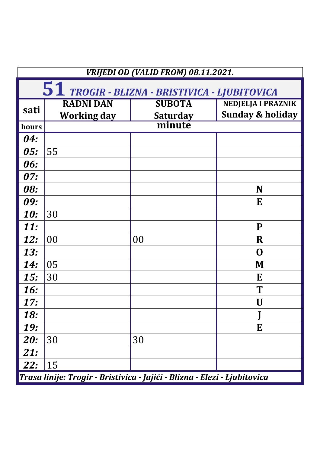| VRIJEDI OD (VALID FROM) 08.11.2021.                                       |                    |                 |                             |  |
|---------------------------------------------------------------------------|--------------------|-----------------|-----------------------------|--|
| 51 TROGIR - BLIZNA - BRISTIVICA - LJUBITOVICA                             |                    |                 |                             |  |
|                                                                           | <b>RADNI DAN</b>   | <b>SUBOTA</b>   | <b>NEDJELJA I PRAZNIK</b>   |  |
| sati                                                                      | <b>Working day</b> | <b>Saturday</b> | <b>Sunday &amp; holiday</b> |  |
| hours                                                                     |                    | minute          |                             |  |
| 04:                                                                       |                    |                 |                             |  |
| 05:                                                                       | 55                 |                 |                             |  |
| 06:                                                                       |                    |                 |                             |  |
| 07:                                                                       |                    |                 |                             |  |
| 08:                                                                       |                    |                 | N                           |  |
| 09:                                                                       |                    |                 | E                           |  |
| <b>10:</b>                                                                | 30                 |                 |                             |  |
| <b>11:</b>                                                                |                    |                 | P                           |  |
| 12:                                                                       | 00                 | 00              | $\mathbf R$                 |  |
| <b>13:</b>                                                                |                    |                 | O                           |  |
| <b>14:</b>                                                                | 05                 |                 | M                           |  |
| 15:                                                                       | 30                 |                 | E                           |  |
| <b>16:</b>                                                                |                    |                 | T                           |  |
| 17:                                                                       |                    |                 | U                           |  |
| <b>18:</b>                                                                |                    |                 |                             |  |
| <b>19:</b>                                                                |                    |                 | E                           |  |
| <b>20:</b>                                                                | 30                 | 30              |                             |  |
| <b>21:</b>                                                                |                    |                 |                             |  |
| 22:                                                                       | 15                 |                 |                             |  |
| Trasa linije: Trogir - Bristivica - Jajići - Blizna - Elezi - Ljubitovica |                    |                 |                             |  |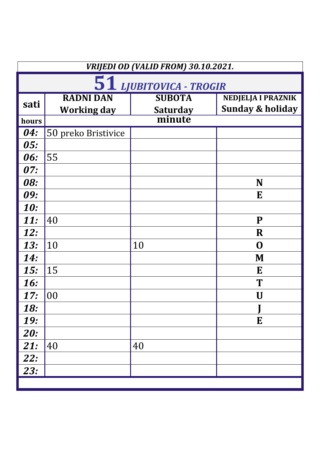| VRIJEDI OD (VALID FROM) 30.10.2021. |                     |                 |                             |
|-------------------------------------|---------------------|-----------------|-----------------------------|
| 51 LJUBITOVICA - TROGIR             |                     |                 |                             |
| sati                                | <b>RADNI DAN</b>    | <b>SUBOTA</b>   | <b>NEDJELJA I PRAZNIK</b>   |
|                                     | <b>Working day</b>  | <b>Saturday</b> | <b>Sunday &amp; holiday</b> |
| hours                               |                     | minute          |                             |
| 04:                                 | 50 preko Bristivice |                 |                             |
| 05:                                 |                     |                 |                             |
| 06:                                 | 55                  |                 |                             |
| 07:                                 |                     |                 |                             |
| <b>08:</b>                          |                     |                 | N                           |
| 09:                                 |                     |                 | E                           |
| <b>10:</b>                          |                     |                 |                             |
| <b>11:</b>                          | 40                  |                 | ${\bf P}$                   |
| <b>12:</b>                          |                     |                 | $\mathbf R$                 |
| <b>13:</b>                          | 10                  | 10              | O                           |
| <b>14:</b>                          |                     |                 | M                           |
| 15:                                 | 15                  |                 | E                           |
| <b>16:</b>                          |                     |                 | T                           |
| 17:                                 | 00                  |                 | U                           |
| <b>18:</b>                          |                     |                 |                             |
| <b>19:</b>                          |                     |                 | E                           |
| <b>20:</b>                          |                     |                 |                             |
| 21:                                 | 40                  | 40              |                             |
| <b>22:</b>                          |                     |                 |                             |
| 23:                                 |                     |                 |                             |
|                                     |                     |                 |                             |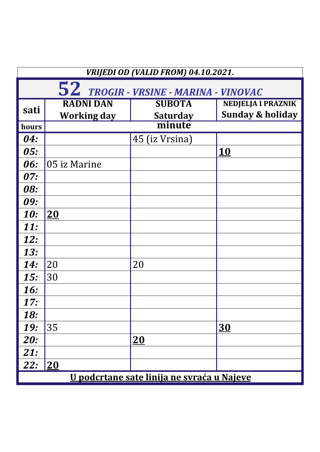| VRIJEDI OD (VALID FROM) 04.10.2021.               |                    |                 |                             |
|---------------------------------------------------|--------------------|-----------------|-----------------------------|
| 52 TROGIR - VRSINE - MARINA - VINOVAC             |                    |                 |                             |
| sati                                              | <b>RADNI DAN</b>   | <b>SUBOTA</b>   | <b>NEDJELJA I PRAZNIK</b>   |
|                                                   | <b>Working day</b> | <b>Saturday</b> | <b>Sunday &amp; holiday</b> |
| hours                                             |                    | minute          |                             |
| 04:                                               |                    | 45 (iz Vrsina)  |                             |
| 05:                                               |                    |                 | <b>10</b>                   |
| <b>06:</b>                                        | 05 iz Marine       |                 |                             |
| 07:                                               |                    |                 |                             |
| <b>08:</b>                                        |                    |                 |                             |
| 09:                                               |                    |                 |                             |
| <b>10:</b>                                        | 20                 |                 |                             |
| <b>11:</b>                                        |                    |                 |                             |
| 12:                                               |                    |                 |                             |
| <b>13:</b>                                        |                    |                 |                             |
| <b>14:</b>                                        | 20                 | 20              |                             |
| 15:                                               | 30                 |                 |                             |
| <b>16:</b>                                        |                    |                 |                             |
| 17:                                               |                    |                 |                             |
| <b>18:</b>                                        |                    |                 |                             |
| <b>19:</b>                                        | 35                 |                 | <u>30</u>                   |
| <b>20:</b>                                        |                    | 20              |                             |
| <b>21:</b>                                        |                    |                 |                             |
| <b>22:</b>                                        | 20                 |                 |                             |
| <u>U podcrtane sate linija ne svraća u Najeve</u> |                    |                 |                             |